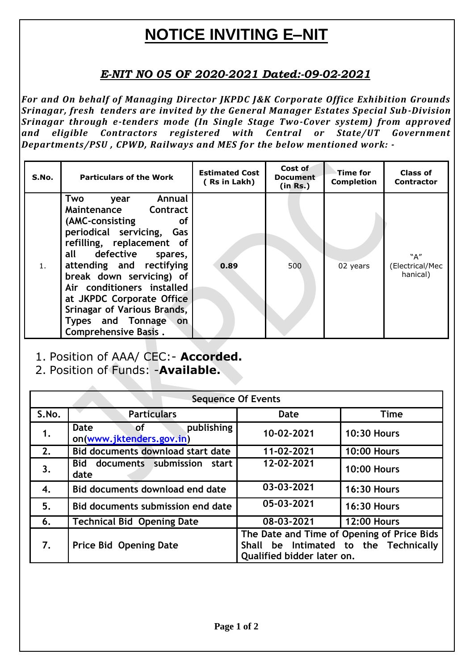# **NOTICE INVITING E–NIT**

## *E-NIT NO 05 OF 2020-2021 Dated:-09-02-2021*

*For and On behalf of Managing Director JKPDC J&K Corporate Office Exhibition Grounds Srinagar, fresh tenders are invited by the General Manager Estates Special Sub-Division Srinagar through e-tenders mode (In Single Stage Two-Cover system) from approved and eligible Contractors registered with Central or State/UT Government Departments/PSU , CPWD, Railways and MES for the below mentioned work: -*

| S.No. | <b>Particulars of the Work</b>                                                                                                                                                                                                                                                                                                                                               | <b>Estimated Cost</b><br>(Rs in Lakh) | Cost of<br><b>Document</b><br>(in Rs.) | Time for<br><b>Completion</b> | Class of<br><b>Contractor</b>      |
|-------|------------------------------------------------------------------------------------------------------------------------------------------------------------------------------------------------------------------------------------------------------------------------------------------------------------------------------------------------------------------------------|---------------------------------------|----------------------------------------|-------------------------------|------------------------------------|
| 1.    | Annual<br>Two<br>year<br>Contract<br>Maintenance<br>(AMC-consisting<br><b>of</b><br>periodical servicing,<br>Gas<br>refilling, replacement of<br>all defective spares,<br>attending and rectifying<br>break down servicing) of<br>Air conditioners installed<br>at JKPDC Corporate Office<br>Srinagar of Various Brands,<br>Types and Tonnage<br>on.<br>Comprehensive Basis. | 0.89                                  | 500                                    | 02 years                      | "A"<br>(Electrical/Mec<br>hanical) |

- 1. Position of AAA/ CEC:- **Accorded.**
- 2. Position of Funds: -**Available.**

| <b>Sequence Of Events</b> |                                                      |                                                                                                                   |                    |  |  |  |
|---------------------------|------------------------------------------------------|-------------------------------------------------------------------------------------------------------------------|--------------------|--|--|--|
| S.No.                     | <b>Particulars</b>                                   | <b>Date</b>                                                                                                       | <b>Time</b>        |  |  |  |
| 1.                        | publishing<br>Date<br>оf<br>on(www.jktenders.gov.in) | 10-02-2021                                                                                                        | <b>10:30 Hours</b> |  |  |  |
| 2.                        | Bid documents download start date                    | 11-02-2021                                                                                                        | <b>10:00 Hours</b> |  |  |  |
| 3.                        | documents submission<br><b>Bid</b><br>start<br>date  | 12-02-2021                                                                                                        | <b>10:00 Hours</b> |  |  |  |
| 4.                        | Bid documents download end date                      | 03-03-2021                                                                                                        | <b>16:30 Hours</b> |  |  |  |
| 5.                        | Bid documents submission end date                    | 05-03-2021                                                                                                        | <b>16:30 Hours</b> |  |  |  |
| 6.                        | <b>Technical Bid Opening Date</b>                    | 08-03-2021                                                                                                        | <b>12:00 Hours</b> |  |  |  |
| 7.                        | <b>Price Bid Opening Date</b>                        | The Date and Time of Opening of Price Bids<br>Shall be Intimated to the Technically<br>Qualified bidder later on. |                    |  |  |  |